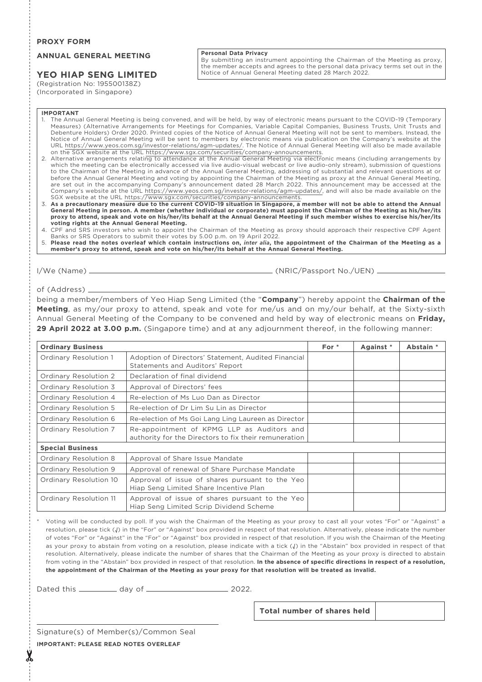## **PROXY FORM**

## **ANNUAL GENERAL MEETING**

# **YEO HIAP SENG LIMITED**

(Registration No: 195500138Z) (Incorporated in Singapore)

## **Personal Data Privacy**

By submitting an instrument appointing the Chairman of the Meeting as proxy, the member accepts and agrees to the personal data privacy terms set out in the Notice of Annual General Meeting dated 28 March 2022.

#### **IMPORTANT**

- 1. The Annual General Meeting is being convened, and will be held, by way of electronic means pursuant to the COVID-19 (Temporary Measures) (Alternative Arrangements for Meetings for Companies, Variable Capital Companies, Business Trusts, Unit Trusts and Debenture Holders) Order 2020. Printed copies of the Notice of Annual General Meeting will not be sent to members. Instead, the Notice of Annual General Meeting will be sent to members by electronic means via publication on the Company's website at the<br>URL <u>https://www.yeos.com.sg/investor-relations/agm-updates/</u>. The Notice of Annual General Meeti
- 2. Alternative arrangements relating to attendance at the Annual General Meeting via electronic means (including arrangements by which the meeting can be electronically accessed via live audio-visual webcast or live audio-only stream), submission of questions to the Chairman of the Meeting in advance of the Annual General Meeting, addressing of substantial and relevant questions at or before the Annual General Meeting and voting by appointing the Chairman of the Meeting as proxy at the Annual General Meeting, are set out in the accompanying Company's announcement dated 28 March 2022. This announcement may be accessed at the Company's website at the URL https://www.yeos.com.sg/investor-relations/agm-updates/, and will also be made available on the SGX website at the URL https://www.sgx.com/securities/company-announcements.
- 3. **As a precautionary measure due to the current COVID-19 situation in Singapore, a member will not be able to attend the Annual General Meeting in person. A member (whether individual or corporate) must appoint the Chairman of the Meeting as his/her/its proxy to attend, speak and vote on his/her/its behalf at the Annual General Meeting if such member wishes to exercise his/her/its voting rights at the Annual General Meeting.**
- 4. CPF and SRS investors who wish to appoint the Chairman of the Meeting as proxy should approach their respective CPF Agent Banks or SRS Operators to submit their votes by 5.00 p.m. on 19 April 2022.
- 5. **Please read the notes overleaf which contain instructions on,** *inter alia***, the appointment of the Chairman of the Meeting as a member's proxy to attend, speak and vote on his/her/its behalf at the Annual General Meeting.**

I/We (Name) (NRIC/Passport No./UEN)

## of (Address)

being a member/members of Yeo Hiap Seng Limited (the "**Company**") hereby appoint the **Chairman of the Meeting**, as my/our proxy to attend, speak and vote for me/us and on my/our behalf, at the Sixty-sixth Annual General Meeting of the Company to be convened and held by way of electronic means on **Friday, 29 April 2022 at 3.00 p.m.** (Singapore time) and at any adjournment thereof, in the following manner:

| <b>Ordinary Business</b> |                                                                                                     | For $*$ | Against * | Abstain * |
|--------------------------|-----------------------------------------------------------------------------------------------------|---------|-----------|-----------|
| Ordinary Resolution 1    | Adoption of Directors' Statement, Audited Financial<br>Statements and Auditors' Report              |         |           |           |
| Ordinary Resolution 2    | Declaration of final dividend                                                                       |         |           |           |
| Ordinary Resolution 3    | Approval of Directors' fees                                                                         |         |           |           |
| Ordinary Resolution 4    | Re-election of Ms Luo Dan as Director                                                               |         |           |           |
| Ordinary Resolution 5    | Re-election of Dr Lim Su Lin as Director                                                            |         |           |           |
| Ordinary Resolution 6    | Re-election of Ms Goi Lang Ling Laureen as Director                                                 |         |           |           |
| Ordinary Resolution 7    | Re-appointment of KPMG LLP as Auditors and<br>authority for the Directors to fix their remuneration |         |           |           |
| <b>Special Business</b>  |                                                                                                     |         |           |           |
| Ordinary Resolution 8    | Approval of Share Issue Mandate                                                                     |         |           |           |
| Ordinary Resolution 9    | Approval of renewal of Share Purchase Mandate                                                       |         |           |           |
| Ordinary Resolution 10   | Approval of issue of shares pursuant to the Yeo<br>Hiap Seng Limited Share Incentive Plan           |         |           |           |
| Ordinary Resolution 11   | Approval of issue of shares pursuant to the Yeo<br>Hiap Seng Limited Scrip Dividend Scheme          |         |           |           |

Voting will be conducted by poll. If you wish the Chairman of the Meeting as your proxy to cast all your votes "For" or "Against" a resolution, please tick (√) in the "For" or "Against" box provided in respect of that resolution. Alternatively, please indicate the number of votes "For" or "Against" in the "For" or "Against" box provided in respect of that resolution. If you wish the Chairman of the Meeting as your proxy to abstain from voting on a resolution, please indicate with a tick (√) in the "Abstain" box provided in respect of that resolution. Alternatively, please indicate the number of shares that the Chairman of the Meeting as your proxy is directed to abstain from voting in the "Abstain" box provided in respect of that resolution. **In the absence of specific directions in respect of a resolution, the appointment of the Chairman of the Meeting as your proxy for that resolution will be treated as invalid.**

Dated this day of 2022.

**Total number of shares held**

Signature(s) of Member(s)/Common Seal

**IMPORTANT: PLEASE READ NOTES OVERLEAF**